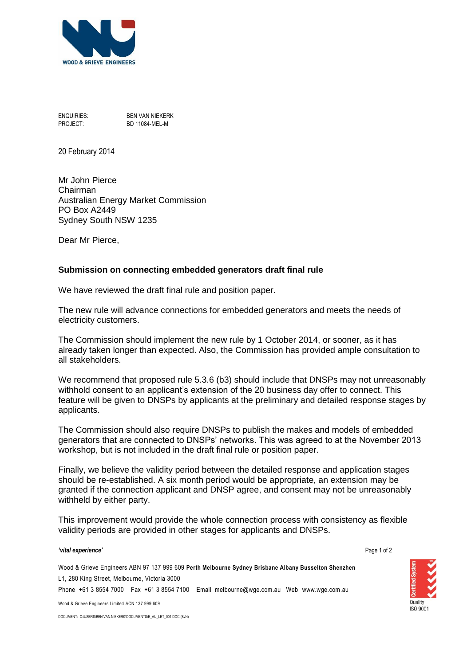

ENQUIRIES: BEN VAN NIEKERK PROJECT: BD 11084-MEL-M

20 February 2014

Mr John Pierce Chairman Australian Energy Market Commission PO Box A2449 Sydney South NSW 1235

Dear Mr Pierce,

## **Submission on connecting embedded generators draft final rule**

We have reviewed the draft final rule and position paper.

The new rule will advance connections for embedded generators and meets the needs of electricity customers.

The Commission should implement the new rule by 1 October 2014, or sooner, as it has already taken longer than expected. Also, the Commission has provided ample consultation to all stakeholders.

We recommend that proposed rule 5.3.6 (b3) should include that DNSPs may not unreasonably withhold consent to an applicant's extension of the 20 business day offer to connect. This feature will be given to DNSPs by applicants at the preliminary and detailed response stages by applicants.

The Commission should also require DNSPs to publish the makes and models of embedded generators that are connected to DNSPs' networks. This was agreed to at the November 2013 workshop, but is not included in the draft final rule or position paper.

Finally, we believe the validity period between the detailed response and application stages should be re-established. A six month period would be appropriate, an extension may be granted if the connection applicant and DNSP agree, and consent may not be unreasonably withheld by either party.

This improvement would provide the whole connection process with consistency as flexible validity periods are provided in other stages for applicants and DNSPs.

## *'vital experience'*

Page 1 of 2

**ISO 9001** 

Wood & Grieve Engineers ABN 97 137 999 609 **Perth Melbourne Sydney Brisbane Albany Busselton Shenzhen** L1, 280 King Street, Melbourne, Victoria 3000 Phone +61 3 8554 7000 Fax +61 3 8554 7100 Email melbourne@wge.com.au Web www.wge.com.au

Wood & Grieve Engineers Limited ACN 137 999 609

DOCUMENT: C:\USERS\BEN.VAN.NIEKERK\DOCUMENTS\E\_AU\_LET\_001.DOC (BvN)